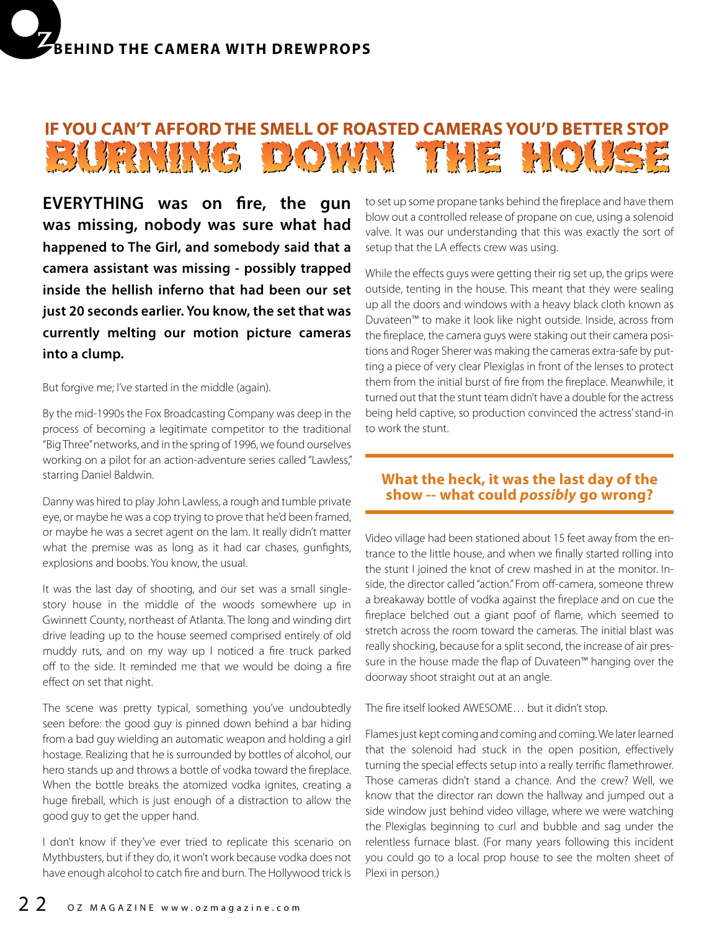## IF YOU CAN'T AFFORD THE SMELL OF ROASTED CAMERAS YOU'D BETTER STOP BURNIE DOWN THE HOUSE

**EVERYTHING was on fire, the gun was missing, nobody was sure what had happened to The Girl, and somebody said that a camera assistant was missing - possibly trapped inside the hellish inferno that had been our set just 20 seconds earlier. You know, the set that was currently melting our motion picture cameras into a clump.**

But forgive me; I've started in the middle (again).

By the mid-1990s the Fox Broadcasting Company was deep in the process of becoming a legitimate competitor to the traditional "Big Three" networks, and in the spring of 1996, we found ourselves working on a pilot for an action-adventure series called "Lawless," starring Daniel Baldwin.

Danny was hired to play John Lawless, a rough and tumble private eye, or maybe he was a cop trying to prove that he'd been framed, or maybe he was a secret agent on the lam. It really didn't matter what the premise was as long as it had car chases, gunfights, explosions and boobs. You know, the usual.

It was the last day of shooting, and our set was a small singlestory house in the middle of the woods somewhere up in Gwinnett County, northeast of Atlanta. The long and winding dirt drive leading up to the house seemed comprised entirely of old muddy ruts, and on my way up I noticed a fire truck parked off to the side. It reminded me that we would be doing a fire effect on set that night.

The scene was pretty typical, something you've undoubtedly seen before: the good guy is pinned down behind a bar hiding from a bad guy wielding an automatic weapon and holding a girl hostage. Realizing that he is surrounded by bottles of alcohol, our hero stands up and throws a bottle of vodka toward the fireplace. When the bottle breaks the atomized vodka ignites, creating a huge fireball, which is just enough of a distraction to allow the good guy to get the upper hand.

I don't know if they've ever tried to replicate this scenario on Mythbusters, but if they do, it won't work because vodka does not have enough alcohol to catch fire and burn. The Hollywood trick is to set up some propane tanks behind the fireplace and have them blow out a controlled release of propane on cue, using a solenoid valve. It was our understanding that this was exactly the sort of setup that the LA effects crew was using.

While the effects guys were getting their rig set up, the grips were outside, tenting in the house. This meant that they were sealing up all the doors and windows with a heavy black cloth known as Duvateen™ to make it look like night outside. Inside, across from the fireplace, the camera guys were staking out their camera positions and Roger Sherer was making the cameras extra-safe by putting a piece of very clear Plexiglas in front of the lenses to protect them from the initial burst of fire from the fireplace. Meanwhile, it turned out that the stunt team didn't have a double for the actress being held captive, so production convinced the actress' stand-in to work the stunt.

## **What the heck, it was the last day of the show -- what could** *possibly* **go wrong?**

Video village had been stationed about 15 feet away from the entrance to the little house, and when we finally started rolling into the stunt I joined the knot of crew mashed in at the monitor. Inside, the director called "action." From off-camera, someone threw a breakaway bottle of vodka against the fireplace and on cue the fireplace belched out a giant poof of flame, which seemed to stretch across the room toward the cameras. The initial blast was really shocking, because for a split second, the increase of air pressure in the house made the flap of Duvateen™ hanging over the doorway shoot straight out at an angle.

The fire itself looked AWESOME… but it didn't stop.

Flames just kept coming and coming and coming. We later learned that the solenoid had stuck in the open position, effectively turning the special effects setup into a really terrific flamethrower. Those cameras didn't stand a chance. And the crew? Well, we know that the director ran down the hallway and jumped out a side window just behind video village, where we were watching the Plexiglas beginning to curl and bubble and sag under the relentless furnace blast. (For many years following this incident you could go to a local prop house to see the molten sheet of Plexi in person.)